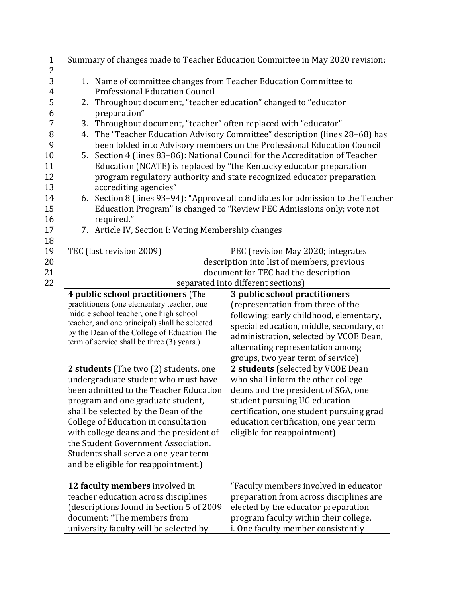| $\mathbf{1}$<br>$\overline{c}$ | Summary of changes made to Teacher Education Committee in May 2020 revision:                                 |                                                                                      |                                                                                                                                                          |  |  |  |
|--------------------------------|--------------------------------------------------------------------------------------------------------------|--------------------------------------------------------------------------------------|----------------------------------------------------------------------------------------------------------------------------------------------------------|--|--|--|
| 3                              | 1. Name of committee changes from Teacher Education Committee to                                             |                                                                                      |                                                                                                                                                          |  |  |  |
| 4                              | <b>Professional Education Council</b><br>Throughout document, "teacher education" changed to "educator<br>2. |                                                                                      |                                                                                                                                                          |  |  |  |
| 5                              |                                                                                                              |                                                                                      |                                                                                                                                                          |  |  |  |
| 6                              |                                                                                                              | preparation"                                                                         |                                                                                                                                                          |  |  |  |
| 7                              | 3.                                                                                                           | Throughout document, "teacher" often replaced with "educator"                        |                                                                                                                                                          |  |  |  |
| 8                              | 4.                                                                                                           |                                                                                      | The "Teacher Education Advisory Committee" description (lines 28-68) has                                                                                 |  |  |  |
| 9<br>10                        |                                                                                                              |                                                                                      | been folded into Advisory members on the Professional Education Council<br>5. Section 4 (lines 83-86): National Council for the Accreditation of Teacher |  |  |  |
| 11                             |                                                                                                              |                                                                                      | Education (NCATE) is replaced by "the Kentucky educator preparation                                                                                      |  |  |  |
| 12                             |                                                                                                              |                                                                                      | program regulatory authority and state recognized educator preparation                                                                                   |  |  |  |
| 13                             |                                                                                                              | accrediting agencies"                                                                |                                                                                                                                                          |  |  |  |
| 14                             |                                                                                                              |                                                                                      | 6. Section 8 (lines 93-94): "Approve all candidates for admission to the Teacher                                                                         |  |  |  |
| 15                             |                                                                                                              |                                                                                      | Education Program" is changed to "Review PEC Admissions only; vote not                                                                                   |  |  |  |
| 16                             |                                                                                                              | required."                                                                           |                                                                                                                                                          |  |  |  |
| 17                             |                                                                                                              | 7. Article IV, Section I: Voting Membership changes                                  |                                                                                                                                                          |  |  |  |
| 18                             |                                                                                                              |                                                                                      |                                                                                                                                                          |  |  |  |
| 19                             |                                                                                                              | TEC (last revision 2009)                                                             | PEC (revision May 2020; integrates                                                                                                                       |  |  |  |
| 20                             |                                                                                                              |                                                                                      | description into list of members, previous                                                                                                               |  |  |  |
| 21                             |                                                                                                              |                                                                                      | document for TEC had the description                                                                                                                     |  |  |  |
| 22                             |                                                                                                              | separated into different sections)                                                   |                                                                                                                                                          |  |  |  |
|                                |                                                                                                              | 4 public school practitioners (The                                                   | 3 public school practitioners                                                                                                                            |  |  |  |
|                                |                                                                                                              | practitioners (one elementary teacher, one<br>middle school teacher, one high school | (representation from three of the                                                                                                                        |  |  |  |
|                                |                                                                                                              | teacher, and one principal) shall be selected                                        | following: early childhood, elementary,                                                                                                                  |  |  |  |
|                                |                                                                                                              | by the Dean of the College of Education The                                          | special education, middle, secondary, or<br>administration, selected by VCOE Dean,                                                                       |  |  |  |
|                                |                                                                                                              | term of service shall be three (3) years.)                                           | alternating representation among                                                                                                                         |  |  |  |
|                                |                                                                                                              |                                                                                      | groups, two year term of service)                                                                                                                        |  |  |  |
|                                |                                                                                                              | 2 students (The two (2) students, one                                                | 2 students (selected by VCOE Dean                                                                                                                        |  |  |  |
|                                |                                                                                                              | undergraduate student who must have                                                  | who shall inform the other college                                                                                                                       |  |  |  |
|                                |                                                                                                              | been admitted to the Teacher Education                                               | deans and the president of SGA, one                                                                                                                      |  |  |  |
|                                |                                                                                                              | program and one graduate student,                                                    | student pursuing UG education                                                                                                                            |  |  |  |
|                                |                                                                                                              | shall be selected by the Dean of the                                                 | certification, one student pursuing grad                                                                                                                 |  |  |  |
|                                | College of Education in consultation                                                                         |                                                                                      | education certification, one year term                                                                                                                   |  |  |  |
|                                | with college deans and the president of                                                                      |                                                                                      | eligible for reappointment)                                                                                                                              |  |  |  |
|                                | the Student Government Association.                                                                          |                                                                                      |                                                                                                                                                          |  |  |  |
|                                |                                                                                                              | Students shall serve a one-year term                                                 |                                                                                                                                                          |  |  |  |
|                                |                                                                                                              | and be eligible for reappointment.)                                                  |                                                                                                                                                          |  |  |  |
|                                |                                                                                                              | 12 faculty members involved in                                                       | "Faculty members involved in educator                                                                                                                    |  |  |  |
|                                |                                                                                                              | teacher education across disciplines                                                 | preparation from across disciplines are                                                                                                                  |  |  |  |
|                                |                                                                                                              | (descriptions found in Section 5 of 2009                                             | elected by the educator preparation                                                                                                                      |  |  |  |
|                                |                                                                                                              | document: "The members from                                                          | program faculty within their college.                                                                                                                    |  |  |  |
|                                |                                                                                                              | university faculty will be selected by                                               | i. One faculty member consistently                                                                                                                       |  |  |  |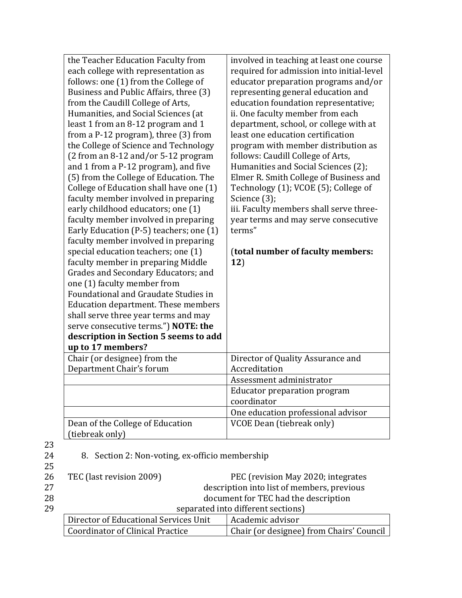| Dean of the College of Education<br>(tiebreak only)                         | <b>VCOE Dean (tiebreak only)</b>                                                      |
|-----------------------------------------------------------------------------|---------------------------------------------------------------------------------------|
|                                                                             | One education professional advisor                                                    |
|                                                                             | coordinator                                                                           |
|                                                                             | <b>Educator preparation program</b>                                                   |
|                                                                             | Assessment administrator                                                              |
| Chair (or designee) from the<br>Department Chair's forum                    | Director of Quality Assurance and<br>Accreditation                                    |
| up to 17 members?                                                           |                                                                                       |
| description in Section 5 seems to add                                       |                                                                                       |
| serve consecutive terms.") NOTE: the                                        |                                                                                       |
| shall serve three year terms and may                                        |                                                                                       |
| <b>Education department. These members</b>                                  |                                                                                       |
| Foundational and Graudate Studies in                                        |                                                                                       |
| one (1) faculty member from                                                 |                                                                                       |
| Grades and Secondary Educators; and                                         |                                                                                       |
| faculty member in preparing Middle                                          | 12)                                                                                   |
| special education teachers; one (1)                                         | (total number of faculty members:                                                     |
| faculty member involved in preparing                                        |                                                                                       |
| Early Education (P-5) teachers; one (1)                                     | terms"                                                                                |
| faculty member involved in preparing                                        | year terms and may serve consecutive                                                  |
| early childhood educators; one (1)                                          | iii. Faculty members shall serve three-                                               |
| faculty member involved in preparing                                        | Science (3);                                                                          |
| College of Education shall have one (1)                                     | Technology (1); VCOE (5); College of                                                  |
| (5) from the College of Education. The                                      | Elmer R. Smith College of Business and                                                |
| and 1 from a P-12 program), and five                                        | Humanities and Social Sciences (2);                                                   |
| (2 from an 8-12 and/or 5-12 program                                         | follows: Caudill College of Arts,                                                     |
| the College of Science and Technology                                       | program with member distribution as                                                   |
| from a P-12 program), three (3) from                                        | least one education certification                                                     |
| least 1 from an 8-12 program and 1                                          | department, school, or college with at                                                |
| Humanities, and Social Sciences (at                                         | ii. One faculty member from each                                                      |
| from the Caudill College of Arts,                                           | education foundation representative;                                                  |
| Business and Public Affairs, three (3)                                      | representing general education and                                                    |
| each college with representation as<br>follows: one (1) from the College of | educator preparation programs and/or                                                  |
|                                                                             | involved in teaching at least one course<br>required for admission into initial-level |
| the Teacher Education Faculty from                                          |                                                                                       |

23

8. Section 2: Non-voting, ex-officio membership

| TEC (last revision 2009)           |  | PEC (revision May 2020; integrates                                               |  |
|------------------------------------|--|----------------------------------------------------------------------------------|--|
|                                    |  | description into list of members, previous                                       |  |
|                                    |  | document for TEC had the description                                             |  |
| separated into different sections) |  |                                                                                  |  |
|                                    |  | Academic advisor                                                                 |  |
|                                    |  | Chair (or designee) from Chairs' Council                                         |  |
|                                    |  | Director of Educational Services Unit<br><b>Coordinator of Clinical Practice</b> |  |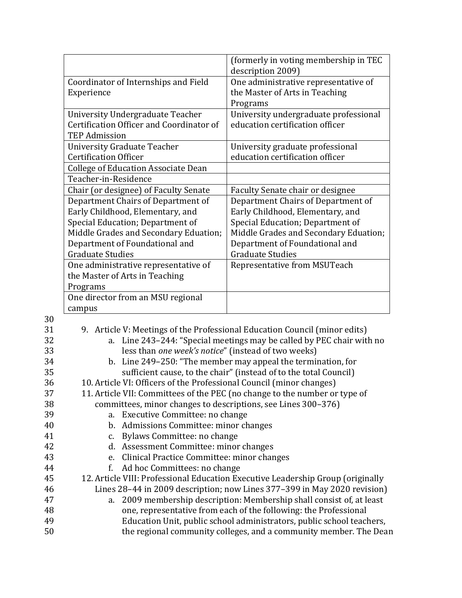|                                            | (formerly in voting membership in TEC |
|--------------------------------------------|---------------------------------------|
|                                            | description 2009)                     |
| Coordinator of Internships and Field       | One administrative representative of  |
| Experience                                 | the Master of Arts in Teaching        |
|                                            | Programs                              |
| University Undergraduate Teacher           | University undergraduate professional |
| Certification Officer and Coordinator of   | education certification officer       |
| <b>TEP Admission</b>                       |                                       |
| <b>University Graduate Teacher</b>         | University graduate professional      |
| <b>Certification Officer</b>               | education certification officer       |
| <b>College of Education Associate Dean</b> |                                       |
| Teacher-in-Residence                       |                                       |
| Chair (or designee) of Faculty Senate      | Faculty Senate chair or designee      |
| Department Chairs of Department of         | Department Chairs of Department of    |
| Early Childhood, Elementary, and           | Early Childhood, Elementary, and      |
| Special Education; Department of           | Special Education; Department of      |
| Middle Grades and Secondary Eduation;      | Middle Grades and Secondary Eduation; |
| Department of Foundational and             | Department of Foundational and        |
| <b>Graduate Studies</b>                    | <b>Graduate Studies</b>               |
| One administrative representative of       | Representative from MSUTeach          |
| the Master of Arts in Teaching             |                                       |
| Programs                                   |                                       |
| One director from an MSU regional          |                                       |
| campus                                     |                                       |

30

| υU |                                                                                 |
|----|---------------------------------------------------------------------------------|
| 31 | 9. Article V: Meetings of the Professional Education Council (minor edits)      |
| 32 | a. Line 243-244: "Special meetings may be called by PEC chair with no           |
| 33 | less than one week's notice" (instead of two weeks)                             |
| 34 | b. Line 249-250: "The member may appeal the termination, for                    |
| 35 | sufficient cause, to the chair" (instead of to the total Council)               |
| 36 | 10. Article VI: Officers of the Professional Council (minor changes)            |
| 37 | 11. Article VII: Committees of the PEC (no change to the number or type of      |
| 38 | committees, minor changes to descriptions, see Lines 300-376)                   |
| 39 | a. Executive Committee: no change                                               |
| 40 | b. Admissions Committee: minor changes                                          |
| 41 | c. Bylaws Committee: no change                                                  |
| 42 | d. Assessment Committee: minor changes                                          |
| 43 | e. Clinical Practice Committee: minor changes                                   |
| 44 | f.<br>Ad hoc Committees: no change                                              |
| 45 | 12. Article VIII: Professional Education Executive Leadership Group (originally |
| 46 | Lines 28-44 in 2009 description; now Lines 377-399 in May 2020 revision)        |
| 47 | a. 2009 membership description: Membership shall consist of, at least           |
| 48 | one, representative from each of the following: the Professional                |
| 49 | Education Unit, public school administrators, public school teachers,           |
| 50 | the regional community colleges, and a community member. The Dean               |
|    |                                                                                 |